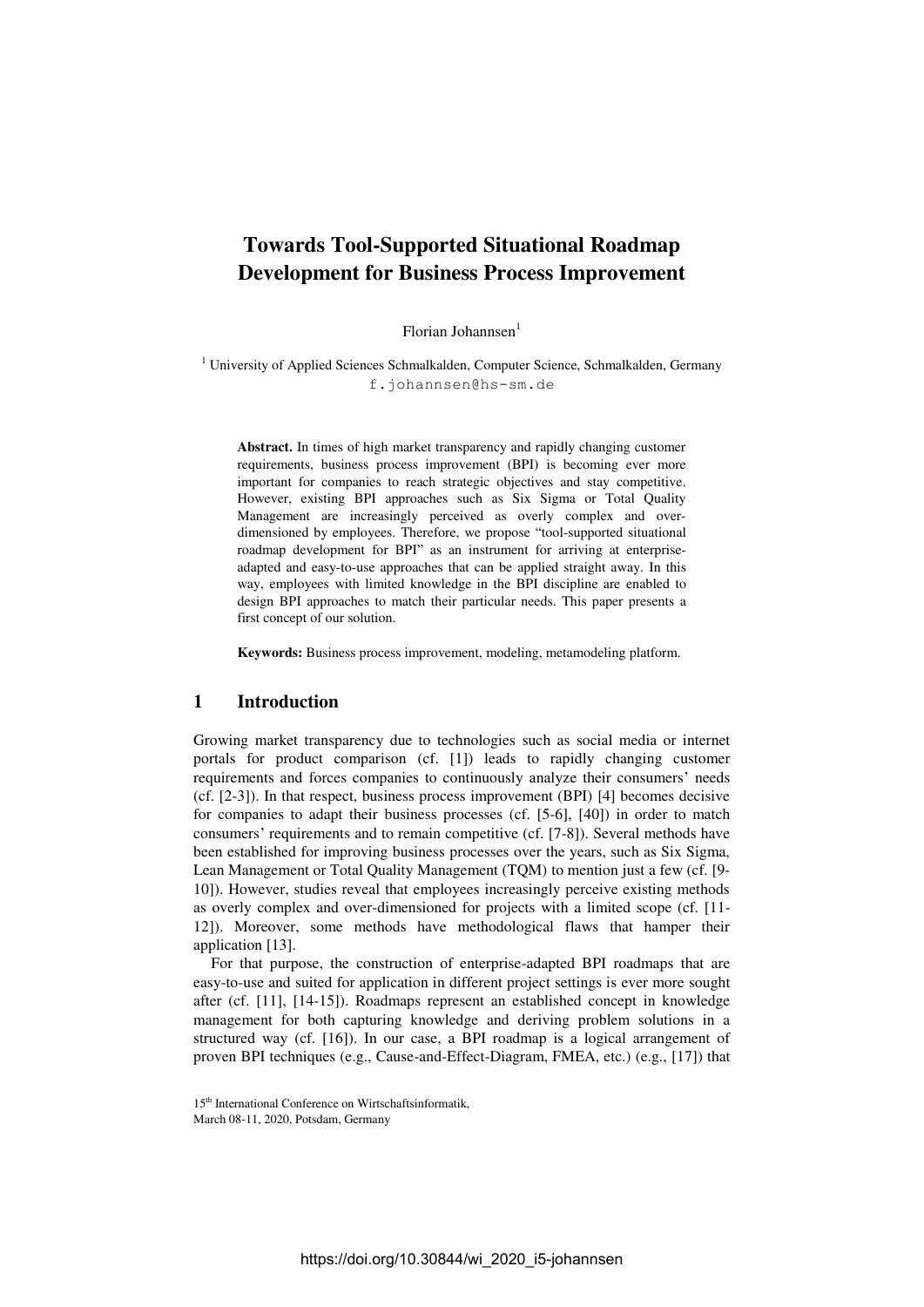# **Towards Tool-Supported Situational Roadmap Development for Business Process Improvement**

Florian Johannsen<sup>1</sup>

<sup>1</sup> University of Applied Sciences Schmalkalden, Computer Science, Schmalkalden, Germany f.johannsen@hs-sm.de

**Abstract.** In times of high market transparency and rapidly changing customer requirements, business process improvement (BPI) is becoming ever more important for companies to reach strategic objectives and stay competitive. However, existing BPI approaches such as Six Sigma or Total Quality Management are increasingly perceived as overly complex and overdimensioned by employees. Therefore, we propose "tool-supported situational roadmap development for BPI" as an instrument for arriving at enterpriseadapted and easy-to-use approaches that can be applied straight away. In this way, employees with limited knowledge in the BPI discipline are enabled to design BPI approaches to match their particular needs. This paper presents a first concept of our solution.

**Keywords:** Business process improvement, modeling, metamodeling platform.

#### **1 Introduction**

Growing market transparency due to technologies such as social media or internet portals for product comparison (cf. [1]) leads to rapidly changing customer requirements and forces companies to continuously analyze their consumers' needs (cf. [2-3]). In that respect, business process improvement (BPI) [4] becomes decisive for companies to adapt their business processes (cf. [5-6], [40]) in order to match consumers' requirements and to remain competitive (cf. [7-8]). Several methods have been established for improving business processes over the years, such as Six Sigma, Lean Management or Total Quality Management (TQM) to mention just a few (cf. [9- 10]). However, studies reveal that employees increasingly perceive existing methods as overly complex and over-dimensioned for projects with a limited scope (cf. [11- 12]). Moreover, some methods have methodological flaws that hamper their application [13].

For that purpose, the construction of enterprise-adapted BPI roadmaps that are easy-to-use and suited for application in different project settings is ever more sought after (cf. [11], [14-15]). Roadmaps represent an established concept in knowledge management for both capturing knowledge and deriving problem solutions in a structured way (cf. [16]). In our case, a BPI roadmap is a logical arrangement of proven BPI techniques (e.g., Cause-and-Effect-Diagram, FMEA, etc.) (e.g., [17]) that

<sup>15</sup>th International Conference on Wirtschaftsinformatik,

March 08-11, 2020, Potsdam, Germany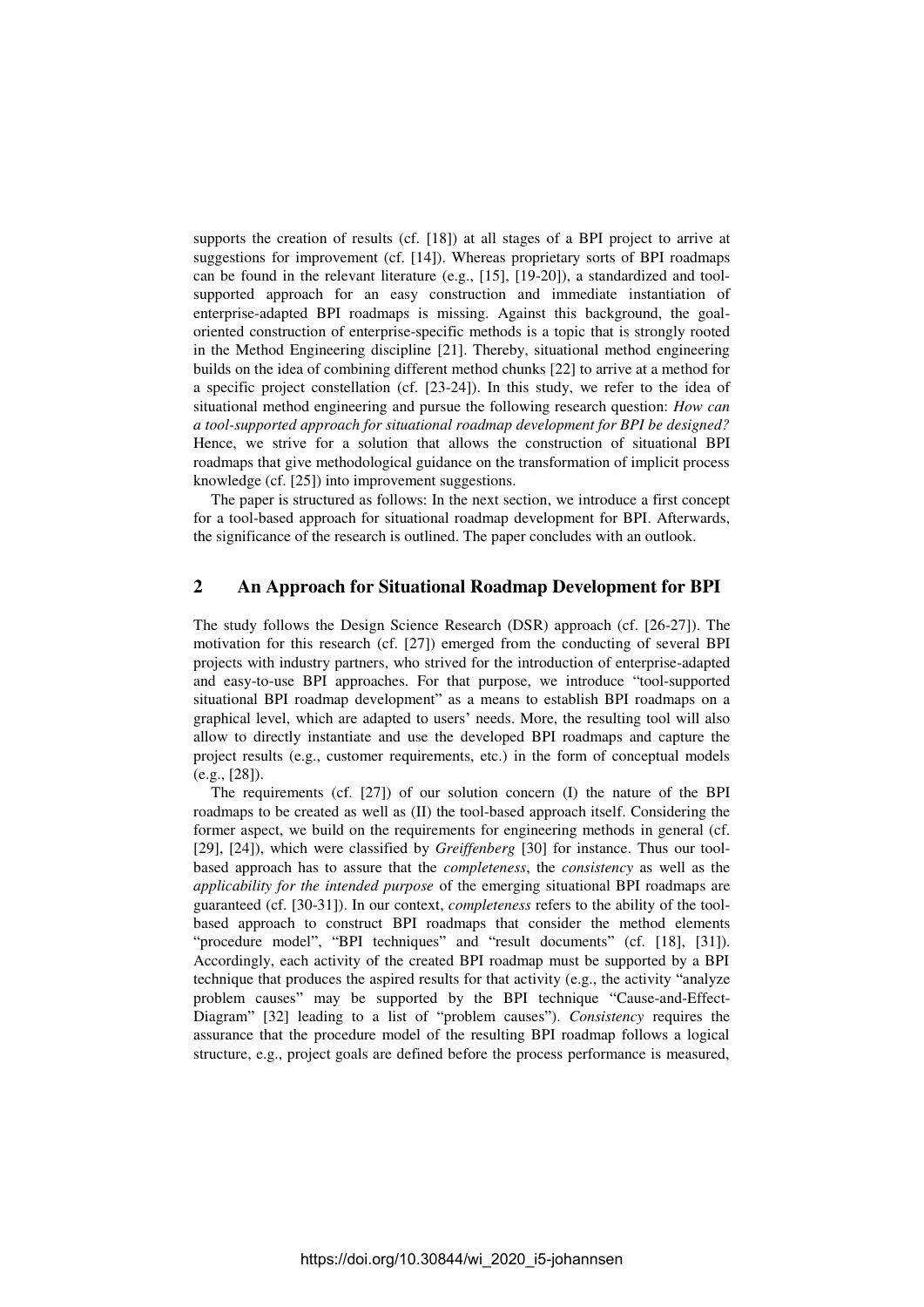supports the creation of results (cf. [18]) at all stages of a BPI project to arrive at suggestions for improvement (cf. [14]). Whereas proprietary sorts of BPI roadmaps can be found in the relevant literature (e.g., [15], [19-20]), a standardized and toolsupported approach for an easy construction and immediate instantiation of enterprise-adapted BPI roadmaps is missing. Against this background, the goaloriented construction of enterprise-specific methods is a topic that is strongly rooted in the Method Engineering discipline [21]. Thereby, situational method engineering builds on the idea of combining different method chunks [22] to arrive at a method for a specific project constellation (cf. [23-24]). In this study, we refer to the idea of situational method engineering and pursue the following research question: *How can a tool-supported approach for situational roadmap development for BPI be designed?*  Hence, we strive for a solution that allows the construction of situational BPI roadmaps that give methodological guidance on the transformation of implicit process knowledge (cf. [25]) into improvement suggestions.

The paper is structured as follows: In the next section, we introduce a first concept for a tool-based approach for situational roadmap development for BPI. Afterwards, the significance of the research is outlined. The paper concludes with an outlook.

# **2 An Approach for Situational Roadmap Development for BPI**

The study follows the Design Science Research (DSR) approach (cf. [26-27]). The motivation for this research (cf. [27]) emerged from the conducting of several BPI projects with industry partners, who strived for the introduction of enterprise-adapted and easy-to-use BPI approaches. For that purpose, we introduce "tool-supported situational BPI roadmap development" as a means to establish BPI roadmaps on a graphical level, which are adapted to users' needs. More, the resulting tool will also allow to directly instantiate and use the developed BPI roadmaps and capture the project results (e.g., customer requirements, etc.) in the form of conceptual models (e.g., [28]).

The requirements (cf. [27]) of our solution concern (I) the nature of the BPI roadmaps to be created as well as (II) the tool-based approach itself. Considering the former aspect, we build on the requirements for engineering methods in general (cf. [29], [24]), which were classified by *Greiffenberg* [30] for instance. Thus our toolbased approach has to assure that the *completeness*, the *consistency* as well as the *applicability for the intended purpose* of the emerging situational BPI roadmaps are guaranteed (cf. [30-31]). In our context, *completeness* refers to the ability of the toolbased approach to construct BPI roadmaps that consider the method elements "procedure model", "BPI techniques" and "result documents" (cf. [18], [31]). Accordingly, each activity of the created BPI roadmap must be supported by a BPI technique that produces the aspired results for that activity (e.g., the activity "analyze problem causes" may be supported by the BPI technique "Cause-and-Effect-Diagram" [32] leading to a list of "problem causes"). *Consistency* requires the assurance that the procedure model of the resulting BPI roadmap follows a logical structure, e.g., project goals are defined before the process performance is measured,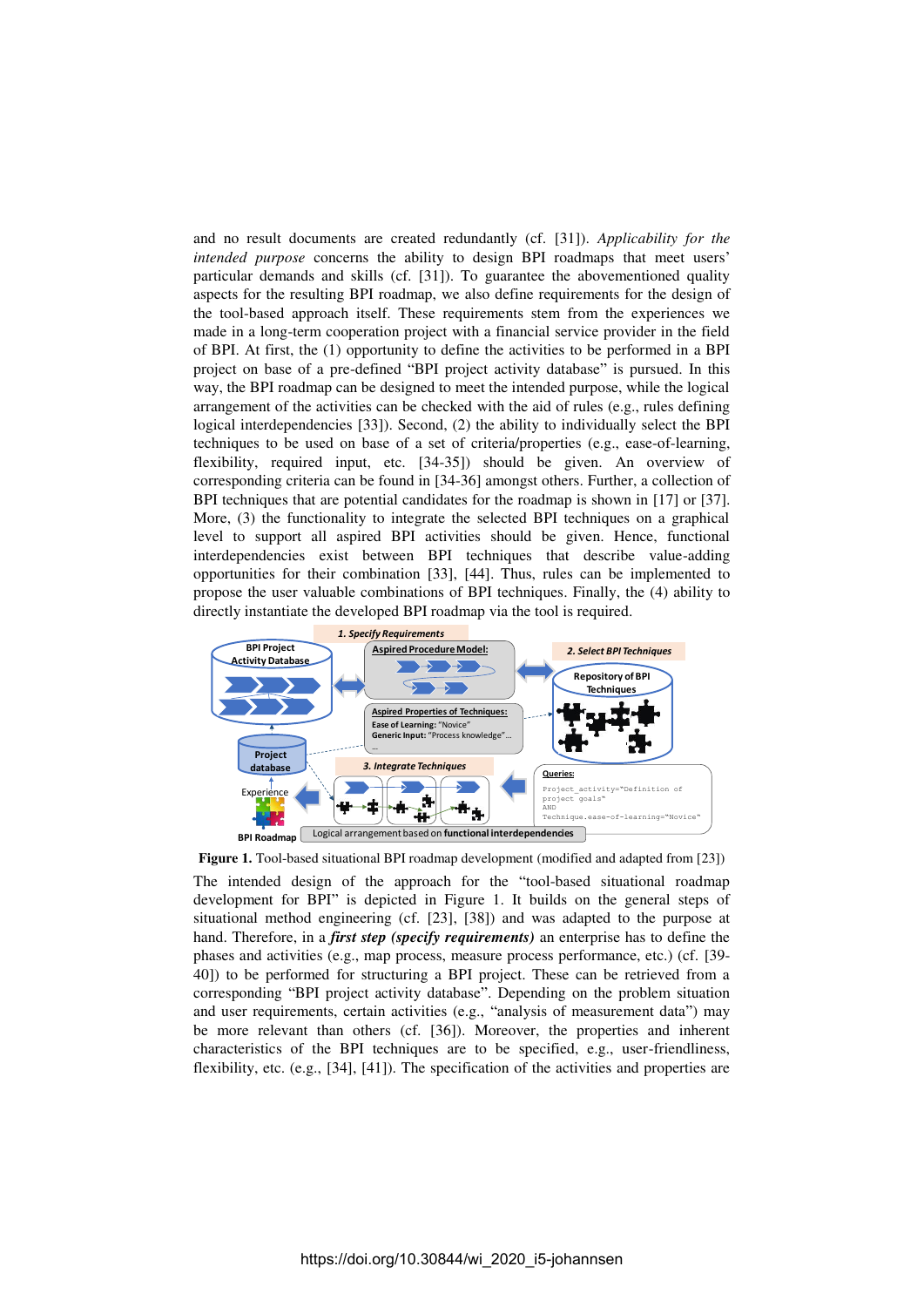and no result documents are created redundantly (cf. [31]). *Applicability for the intended purpose* concerns the ability to design BPI roadmaps that meet users' particular demands and skills (cf. [31]). To guarantee the abovementioned quality aspects for the resulting BPI roadmap, we also define requirements for the design of the tool-based approach itself. These requirements stem from the experiences we made in a long-term cooperation project with a financial service provider in the field of BPI. At first, the (1) opportunity to define the activities to be performed in a BPI project on base of a pre-defined "BPI project activity database" is pursued. In this way, the BPI roadmap can be designed to meet the intended purpose, while the logical arrangement of the activities can be checked with the aid of rules (e.g., rules defining logical interdependencies [33]). Second, (2) the ability to individually select the BPI techniques to be used on base of a set of criteria/properties (e.g., ease-of-learning, flexibility, required input, etc. [34-35]) should be given. An overview of corresponding criteria can be found in [34-36] amongst others. Further, a collection of BPI techniques that are potential candidates for the roadmap is shown in [17] or [37]. More, (3) the functionality to integrate the selected BPI techniques on a graphical level to support all aspired BPI activities should be given. Hence, functional interdependencies exist between BPI techniques that describe value-adding opportunities for their combination [33], [44]. Thus, rules can be implemented to propose the user valuable combinations of BPI techniques. Finally, the (4) ability to directly instantiate the developed BPI roadmap via the tool is required.



**Figure 1.** Tool-based situational BPI roadmap development (modified and adapted from [23]) The intended design of the approach for the "tool-based situational roadmap development for BPI" is depicted in Figure 1. It builds on the general steps of situational method engineering (cf. [23], [38]) and was adapted to the purpose at hand. Therefore, in a *first step (specify requirements)* an enterprise has to define the phases and activities (e.g., map process, measure process performance, etc.) (cf. [39- 40]) to be performed for structuring a BPI project. These can be retrieved from a corresponding "BPI project activity database". Depending on the problem situation and user requirements, certain activities (e.g., "analysis of measurement data") may be more relevant than others (cf. [36]). Moreover, the properties and inherent characteristics of the BPI techniques are to be specified, e.g., user-friendliness, flexibility, etc. (e.g., [34], [41]). The specification of the activities and properties are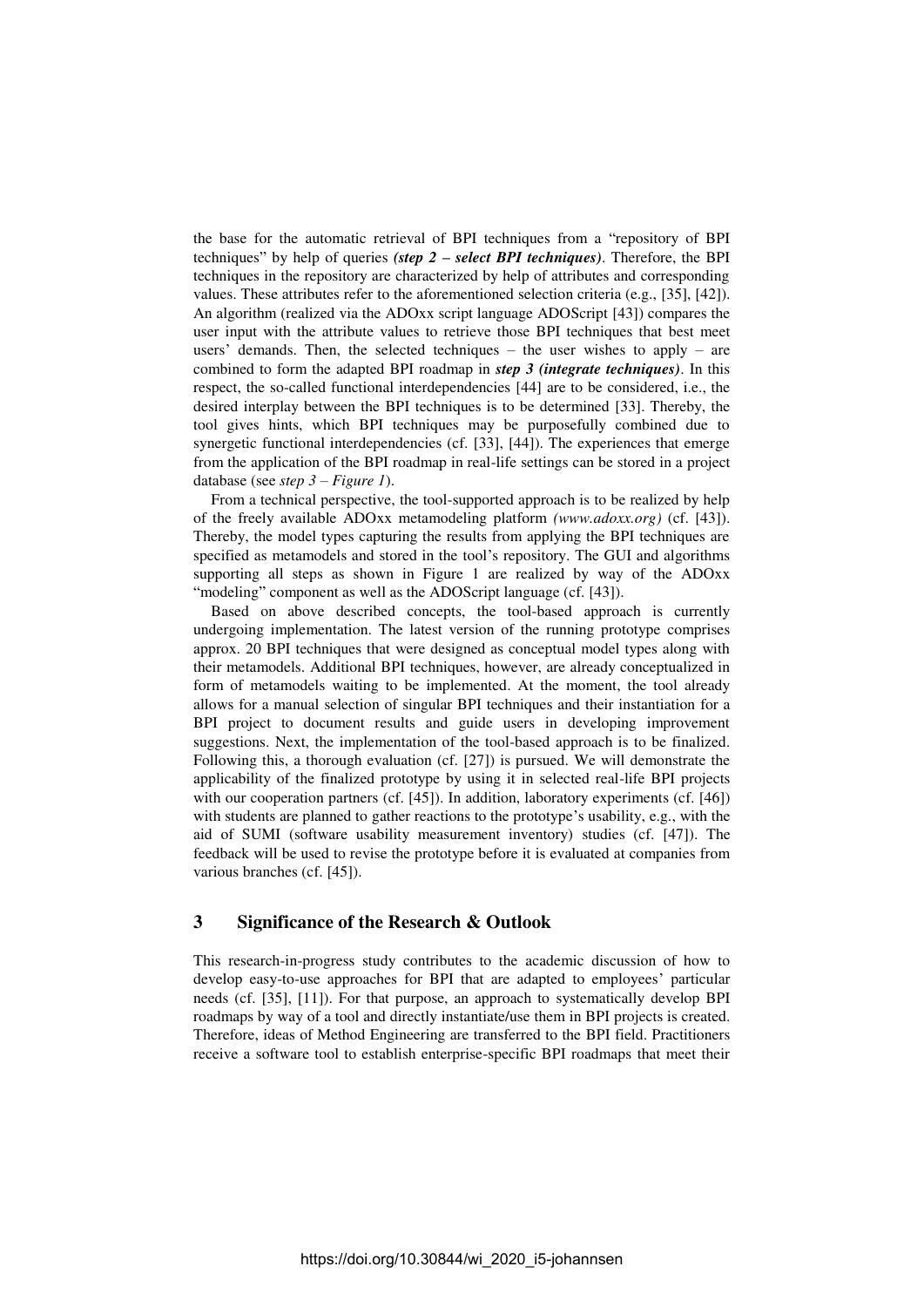the base for the automatic retrieval of BPI techniques from a "repository of BPI techniques" by help of queries *(step 2 – select BPI techniques)*. Therefore, the BPI techniques in the repository are characterized by help of attributes and corresponding values. These attributes refer to the aforementioned selection criteria (e.g., [35], [42]). An algorithm (realized via the ADOxx script language ADOScript [43]) compares the user input with the attribute values to retrieve those BPI techniques that best meet users' demands. Then, the selected techniques – the user wishes to apply – are combined to form the adapted BPI roadmap in *step 3 (integrate techniques)*. In this respect, the so-called functional interdependencies [44] are to be considered, i.e., the desired interplay between the BPI techniques is to be determined [33]. Thereby, the tool gives hints, which BPI techniques may be purposefully combined due to synergetic functional interdependencies (cf. [33], [44]). The experiences that emerge from the application of the BPI roadmap in real-life settings can be stored in a project database (see *step 3 – Figure 1*).

From a technical perspective, the tool-supported approach is to be realized by help of the freely available ADOxx metamodeling platform *(www.adoxx.org)* (cf. [43]). Thereby, the model types capturing the results from applying the BPI techniques are specified as metamodels and stored in the tool's repository. The GUI and algorithms supporting all steps as shown in Figure 1 are realized by way of the ADOxx "modeling" component as well as the ADOScript language (cf. [43]).

Based on above described concepts, the tool-based approach is currently undergoing implementation. The latest version of the running prototype comprises approx. 20 BPI techniques that were designed as conceptual model types along with their metamodels. Additional BPI techniques, however, are already conceptualized in form of metamodels waiting to be implemented. At the moment, the tool already allows for a manual selection of singular BPI techniques and their instantiation for a BPI project to document results and guide users in developing improvement suggestions. Next, the implementation of the tool-based approach is to be finalized. Following this, a thorough evaluation (cf. [27]) is pursued. We will demonstrate the applicability of the finalized prototype by using it in selected real-life BPI projects with our cooperation partners (cf. [45]). In addition, laboratory experiments (cf. [46]) with students are planned to gather reactions to the prototype's usability, e.g., with the aid of SUMI (software usability measurement inventory) studies (cf. [47]). The feedback will be used to revise the prototype before it is evaluated at companies from various branches (cf. [45]).

## **3 Significance of the Research & Outlook**

This research-in-progress study contributes to the academic discussion of how to develop easy-to-use approaches for BPI that are adapted to employees' particular needs (cf. [35], [11]). For that purpose, an approach to systematically develop BPI roadmaps by way of a tool and directly instantiate/use them in BPI projects is created. Therefore, ideas of Method Engineering are transferred to the BPI field. Practitioners receive a software tool to establish enterprise-specific BPI roadmaps that meet their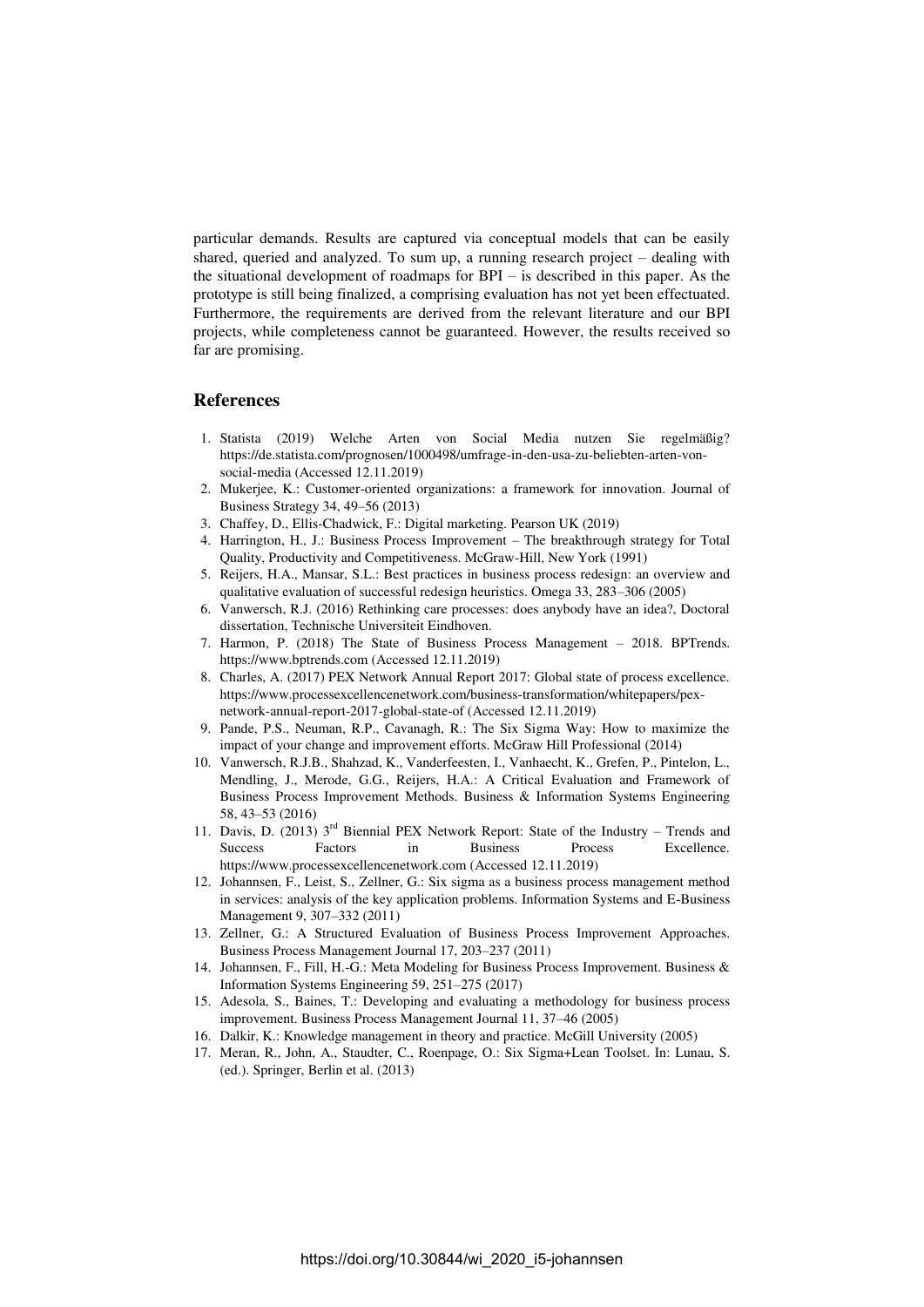particular demands. Results are captured via conceptual models that can be easily shared, queried and analyzed. To sum up, a running research project – dealing with the situational development of roadmaps for BPI – is described in this paper. As the prototype is still being finalized, a comprising evaluation has not yet been effectuated. Furthermore, the requirements are derived from the relevant literature and our BPI projects, while completeness cannot be guaranteed. However, the results received so far are promising.

### **References**

- 1. Statista (2019) Welche Arten von Social Media nutzen Sie regelmäßig? https://de.statista.com/prognosen/1000498/umfrage-in-den-usa-zu-beliebten-arten-vonsocial-media (Accessed 12.11.2019)
- 2. Mukerjee, K.: Customer-oriented organizations: a framework for innovation. Journal of Business Strategy 34, 49–56 (2013)
- 3. Chaffey, D., Ellis-Chadwick, F.: Digital marketing. Pearson UK (2019)
- 4. Harrington, H., J.: Business Process Improvement The breakthrough strategy for Total Quality, Productivity and Competitiveness. McGraw-Hill, New York (1991)
- 5. Reijers, H.A., Mansar, S.L.: Best practices in business process redesign: an overview and qualitative evaluation of successful redesign heuristics. Omega 33, 283–306 (2005)
- 6. Vanwersch, R.J. (2016) Rethinking care processes: does anybody have an idea?, Doctoral dissertation, Technische Universiteit Eindhoven.
- 7. Harmon, P. (2018) The State of Business Process Management 2018. BPTrends. https://www.bptrends.com (Accessed 12.11.2019)
- 8. Charles, A. (2017) PEX Network Annual Report 2017: Global state of process excellence. https://www.processexcellencenetwork.com/business-transformation/whitepapers/pexnetwork-annual-report-2017-global-state-of (Accessed 12.11.2019)
- 9. Pande, P.S., Neuman, R.P., Cavanagh, R.: The Six Sigma Way: How to maximize the impact of your change and improvement efforts. McGraw Hill Professional (2014)
- 10. Vanwersch, R.J.B., Shahzad, K., Vanderfeesten, I., Vanhaecht, K., Grefen, P., Pintelon, L., Mendling, J., Merode, G.G., Reijers, H.A.: A Critical Evaluation and Framework of Business Process Improvement Methods. Business & Information Systems Engineering 58, 43–53 (2016)
- 11. Davis, D. (2013)  $3<sup>rd</sup>$  Biennial PEX Network Report: State of the Industry Trends and Success Factors in Business Process Excellence. https://www.processexcellencenetwork.com (Accessed 12.11.2019)
- 12. Johannsen, F., Leist, S., Zellner, G.: Six sigma as a business process management method in services: analysis of the key application problems. Information Systems and E-Business Management 9, 307–332 (2011)
- 13. Zellner, G.: A Structured Evaluation of Business Process Improvement Approaches. Business Process Management Journal 17, 203–237 (2011)
- 14. Johannsen, F., Fill, H.-G.: Meta Modeling for Business Process Improvement. Business & Information Systems Engineering 59, 251–275 (2017)
- 15. Adesola, S., Baines, T.: Developing and evaluating a methodology for business process improvement. Business Process Management Journal 11, 37–46 (2005)
- 16. Dalkir, K.: Knowledge management in theory and practice. McGill University (2005)
- 17. Meran, R., John, A., Staudter, C., Roenpage, O.: Six Sigma+Lean Toolset. In: Lunau, S. (ed.). Springer, Berlin et al. (2013)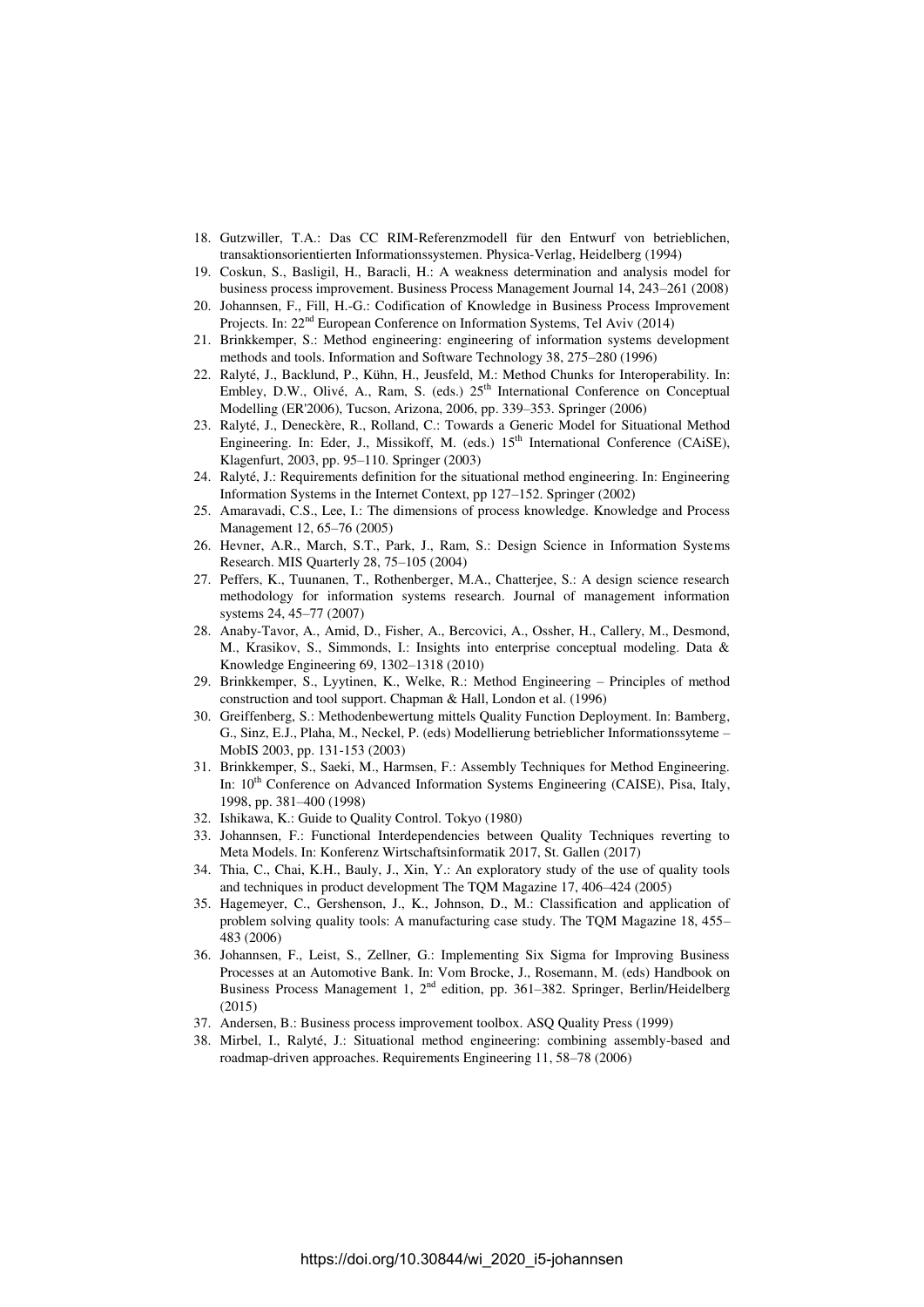- 18. Gutzwiller, T.A.: Das CC RIM-Referenzmodell für den Entwurf von betrieblichen, transaktionsorientierten Informationssystemen. Physica-Verlag, Heidelberg (1994)
- 19. Coskun, S., Basligil, H., Baracli, H.: A weakness determination and analysis model for business process improvement. Business Process Management Journal 14, 243–261 (2008)
- 20. Johannsen, F., Fill, H.-G.: Codification of Knowledge in Business Process Improvement Projects. In: 22nd European Conference on Information Systems, Tel Aviv (2014)
- 21. Brinkkemper, S.: Method engineering: engineering of information systems development methods and tools. Information and Software Technology 38, 275–280 (1996)
- 22. Ralyté, J., Backlund, P., Kühn, H., Jeusfeld, M.: Method Chunks for Interoperability. In: Embley, D.W., Olivé, A., Ram, S. (eds.) 25<sup>th</sup> International Conference on Conceptual Modelling (ER'2006), Tucson, Arizona, 2006, pp. 339–353. Springer (2006)
- 23. Ralyté, J., Deneckère, R., Rolland, C.: Towards a Generic Model for Situational Method Engineering. In: Eder, J., Missikoff, M. (eds.)  $15<sup>th</sup>$  International Conference (CAiSE), Klagenfurt, 2003, pp. 95–110. Springer (2003)
- 24. Ralyté, J.: Requirements definition for the situational method engineering. In: Engineering Information Systems in the Internet Context, pp 127–152. Springer (2002)
- 25. Amaravadi, C.S., Lee, I.: The dimensions of process knowledge. Knowledge and Process Management 12, 65–76 (2005)
- 26. Hevner, A.R., March, S.T., Park, J., Ram, S.: Design Science in Information Systems Research. MIS Quarterly 28, 75–105 (2004)
- 27. Peffers, K., Tuunanen, T., Rothenberger, M.A., Chatterjee, S.: A design science research methodology for information systems research. Journal of management information systems 24, 45–77 (2007)
- 28. Anaby-Tavor, A., Amid, D., Fisher, A., Bercovici, A., Ossher, H., Callery, M., Desmond, M., Krasikov, S., Simmonds, I.: Insights into enterprise conceptual modeling. Data & Knowledge Engineering 69, 1302–1318 (2010)
- 29. Brinkkemper, S., Lyytinen, K., Welke, R.: Method Engineering Principles of method construction and tool support. Chapman & Hall, London et al. (1996)
- 30. Greiffenberg, S.: Methodenbewertung mittels Quality Function Deployment. In: Bamberg, G., Sinz, E.J., Plaha, M., Neckel, P. (eds) Modellierung betrieblicher Informationssyteme – MobIS 2003, pp. 131-153 (2003)
- 31. Brinkkemper, S., Saeki, M., Harmsen, F.: Assembly Techniques for Method Engineering. In: 10<sup>th</sup> Conference on Advanced Information Systems Engineering (CAISE), Pisa, Italy, 1998, pp. 381–400 (1998)
- 32. Ishikawa, K.: Guide to Quality Control. Tokyo (1980)
- 33. Johannsen, F.: Functional Interdependencies between Quality Techniques reverting to Meta Models. In: Konferenz Wirtschaftsinformatik 2017, St. Gallen (2017)
- 34. Thia, C., Chai, K.H., Bauly, J., Xin, Y.: An exploratory study of the use of quality tools and techniques in product development The TQM Magazine 17, 406–424 (2005)
- 35. Hagemeyer, C., Gershenson, J., K., Johnson, D., M.: Classification and application of problem solving quality tools: A manufacturing case study. The TQM Magazine 18, 455– 483 (2006)
- 36. Johannsen, F., Leist, S., Zellner, G.: Implementing Six Sigma for Improving Business Processes at an Automotive Bank. In: Vom Brocke, J., Rosemann, M. (eds) Handbook on Business Process Management 1, 2nd edition, pp. 361–382. Springer, Berlin/Heidelberg (2015)
- 37. Andersen, B.: Business process improvement toolbox. ASQ Quality Press (1999)
- 38. Mirbel, I., Ralyté, J.: Situational method engineering: combining assembly-based and roadmap-driven approaches. Requirements Engineering 11, 58–78 (2006)